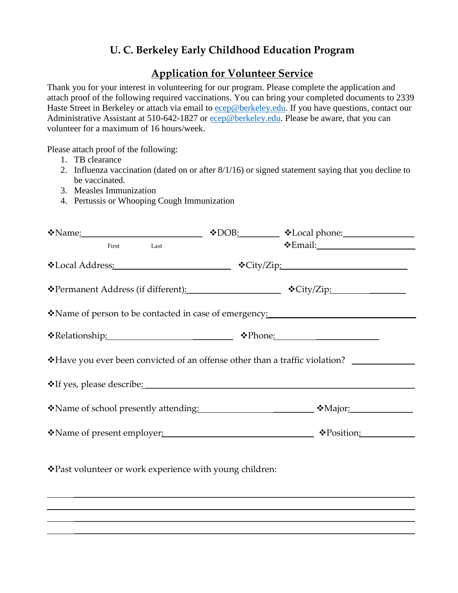## **U. C. Berkeley Early Childhood Education Program**

## **Application for Volunteer Service**

Thank you for your interest in volunteering for our program. Please complete the application and attach proof of the following required vaccinations. You can bring your completed documents to 2339 Haste Street in Berkeley or attach via email to [ecep@berkeley.edu.](mailto:ecep@berkeley.edu) If you have questions, contact our Administrative Assistant at 510-642-1827 or [ecep@berkeley.edu.](mailto:ecep@berkeley.edu) Please be aware, that you can volunteer for a maximum of 16 hours/week.

Please attach proof of the following:

- 1. TB clearance
- 2. Influenza vaccination (dated on or after 8/1/16) or signed statement saying that you decline to be vaccinated.
- 3. Measles Immunization
- 4. Pertussis or Whooping Cough Immunization

| $\cdot \cdot$ Name <u>:</u>                                                                                                                                                                                      |  | $\text{\textcircled{*}DOB:}$ $\text{\textcircled{*}Local phone:}$                |
|------------------------------------------------------------------------------------------------------------------------------------------------------------------------------------------------------------------|--|----------------------------------------------------------------------------------|
| First Last                                                                                                                                                                                                       |  |                                                                                  |
|                                                                                                                                                                                                                  |  |                                                                                  |
| *Permanent Address (if different): * * City/Zip: * * City/Zip:                                                                                                                                                   |  |                                                                                  |
| *Name of person to be contacted in case of emergency:                                                                                                                                                            |  |                                                                                  |
|                                                                                                                                                                                                                  |  |                                                                                  |
|                                                                                                                                                                                                                  |  |                                                                                  |
|                                                                                                                                                                                                                  |  |                                                                                  |
|                                                                                                                                                                                                                  |  |                                                                                  |
|                                                                                                                                                                                                                  |  |                                                                                  |
| *Past volunteer or work experience with young children:<br>,我们也不能在这里的时候,我们也不能在这里的时候,我们也不能会不能会不能会不能会不能会不能会不能会不能会不能会不能会不能会不能会。<br>第2012章 我们的时候,我们的时候,我们的时候,我们的时候,我们的时候,我们的时候,我们的时候,我们的时候,我们的时候,我们的时候,我们的时候,我们的时候,我 |  | ,我们也不会有什么。""我们的人,我们也不会有什么?""我们的人,我们也不会有什么?""我们的人,我们也不会有什么?""我们的人,我们也不会有什么?""我们的人 |
|                                                                                                                                                                                                                  |  |                                                                                  |

\_\_\_\_\_\_\_\_\_\_\_\_\_\_\_\_\_\_\_\_\_\_\_\_\_\_\_\_\_\_\_\_\_\_\_\_\_\_\_\_\_\_\_\_\_\_\_\_\_\_\_\_\_\_\_\_\_\_\_\_\_\_\_\_\_\_\_\_\_\_\_\_\_\_\_\_